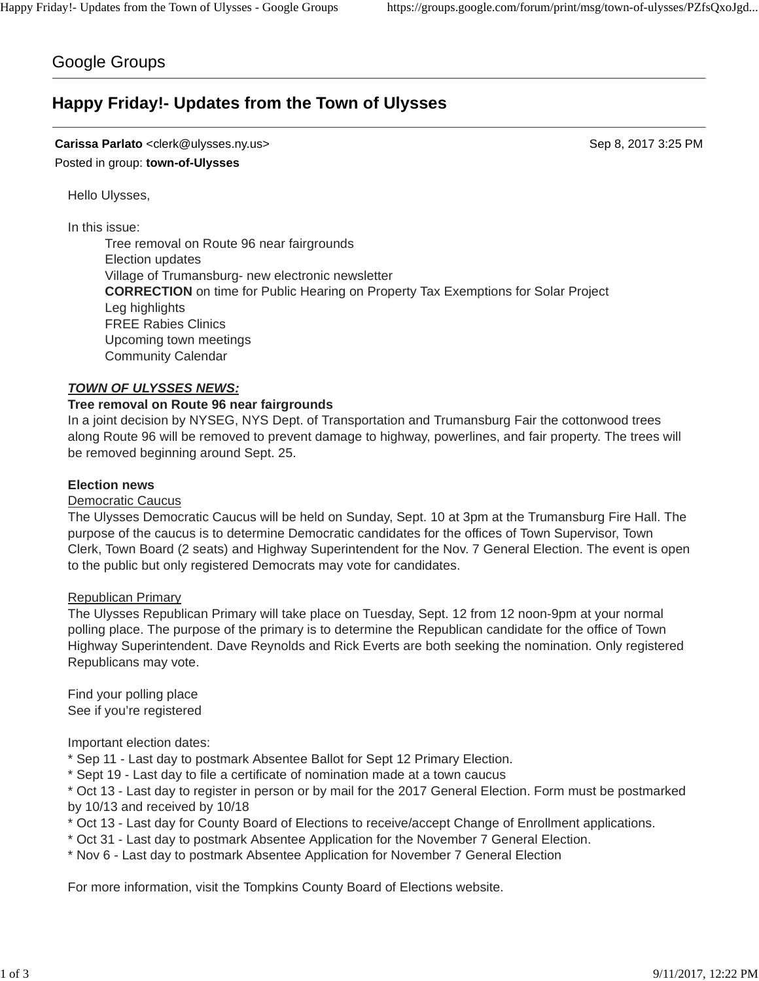# Google Groups

# **Happy Friday!- Updates from the Town of Ulysses**

# **Carissa Parlato** <clerk@ulysses.ny.us> Sep 8, 2017 3:25 PM Posted in group: **town-of-Ulysses**

Hello Ulysses,

In this issue:

Tree removal on Route 96 near fairgrounds Election updates Village of Trumansburg- new electronic newsletter **CORRECTION** on time for Public Hearing on Property Tax Exemptions for Solar Project Leg highlights FREE Rabies Clinics Upcoming town meetings Community Calendar

## *TOWN OF ULYSSES NEWS:*

## **Tree removal on Route 96 near fairgrounds**

In a joint decision by NYSEG, NYS Dept. of Transportation and Trumansburg Fair the cottonwood trees along Route 96 will be removed to prevent damage to highway, powerlines, and fair property. The trees will be removed beginning around Sept. 25.

#### **Election news**

#### Democratic Caucus

The Ulysses Democratic Caucus will be held on Sunday, Sept. 10 at 3pm at the Trumansburg Fire Hall. The purpose of the caucus is to determine Democratic candidates for the offices of Town Supervisor, Town Clerk, Town Board (2 seats) and Highway Superintendent for the Nov. 7 General Election. The event is open to the public but only registered Democrats may vote for candidates.

#### Republican Primary

The Ulysses Republican Primary will take place on Tuesday, Sept. 12 from 12 noon-9pm at your normal polling place. The purpose of the primary is to determine the Republican candidate for the office of Town Highway Superintendent. Dave Reynolds and Rick Everts are both seeking the nomination. Only registered Republicans may vote.

Find your polling place See if you're registered

Important election dates:

- \* Sep 11 Last day to postmark Absentee Ballot for Sept 12 Primary Election.
- \* Sept 19 Last day to file a certificate of nomination made at a town caucus

\* Oct 13 - Last day to register in person or by mail for the 2017 General Election. Form must be postmarked by 10/13 and received by 10/18

- \* Oct 13 Last day for County Board of Elections to receive/accept Change of Enrollment applications.
- \* Oct 31 Last day to postmark Absentee Application for the November 7 General Election.
- \* Nov 6 Last day to postmark Absentee Application for November 7 General Election

For more information, visit the Tompkins County Board of Elections website.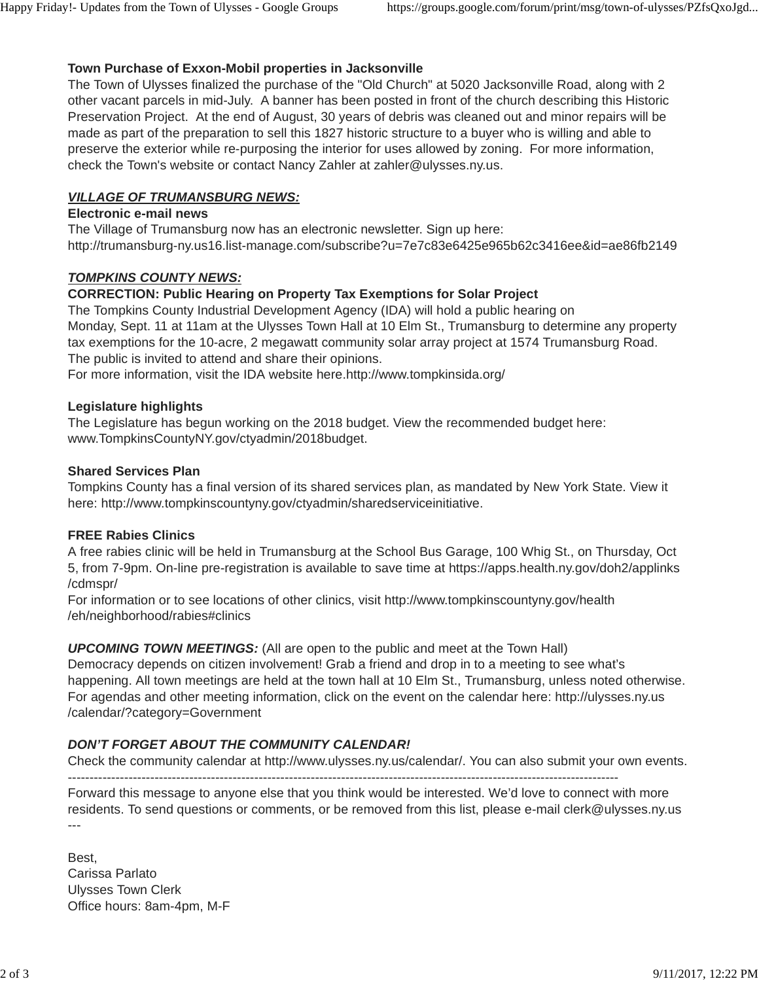# **Town Purchase of Exxon-Mobil properties in Jacksonville**

The Town of Ulysses finalized the purchase of the "Old Church" at 5020 Jacksonville Road, along with 2 other vacant parcels in mid-July. A banner has been posted in front of the church describing this Historic Preservation Project. At the end of August, 30 years of debris was cleaned out and minor repairs will be made as part of the preparation to sell this 1827 historic structure to a buyer who is willing and able to preserve the exterior while re-purposing the interior for uses allowed by zoning. For more information, check the Town's website or contact Nancy Zahler at zahler@ulysses.ny.us.

# *VILLAGE OF TRUMANSBURG NEWS:*

#### **Electronic e-mail news**

The Village of Trumansburg now has an electronic newsletter. Sign up here: http://trumansburg-ny.us16.list-manage.com/subscribe?u=7e7c83e6425e965b62c3416ee&id=ae86fb2149

## *TOMPKINS COUNTY NEWS:*

# **CORRECTION: Public Hearing on Property Tax Exemptions for Solar Project**

The Tompkins County Industrial Development Agency (IDA) will hold a public hearing on Monday, Sept. 11 at 11am at the Ulysses Town Hall at 10 Elm St., Trumansburg to determine any property tax exemptions for the 10-acre, 2 megawatt community solar array project at 1574 Trumansburg Road. The public is invited to attend and share their opinions.

For more information, visit the IDA website here.http://www.tompkinsida.org/

#### **Legislature highlights**

The Legislature has begun working on the 2018 budget. View the recommended budget here: www.TompkinsCountyNY.gov/ctyadmin/2018budget.

## **Shared Services Plan**

Tompkins County has a final version of its shared services plan, as mandated by New York State. View it here: http://www.tompkinscountyny.gov/ctyadmin/sharedserviceinitiative.

## **FREE Rabies Clinics**

A free rabies clinic will be held in Trumansburg at the School Bus Garage, 100 Whig St., on Thursday, Oct 5, from 7-9pm. On-line pre-registration is available to save time at https://apps.health.ny.gov/doh2/applinks /cdmspr/

For information or to see locations of other clinics, visit http://www.tompkinscountyny.gov/health /eh/neighborhood/rabies#clinics

*UPCOMING TOWN MEETINGS:* (All are open to the public and meet at the Town Hall)

Democracy depends on citizen involvement! Grab a friend and drop in to a meeting to see what's happening. All town meetings are held at the town hall at 10 Elm St., Trumansburg, unless noted otherwise. For agendas and other meeting information, click on the event on the calendar here: http://ulysses.ny.us /calendar/?category=Government

# *DON'T FORGET ABOUT THE COMMUNITY CALENDAR!*

Check the community calendar at http://www.ulysses.ny.us/calendar/. You can also submit your own events.

-------------------------------------------------------------------------------------------------------------------------------

Forward this message to anyone else that you think would be interested. We'd love to connect with more residents. To send questions or comments, or be removed from this list, please e-mail clerk@ulysses.ny.us ---

Best, Carissa Parlato Ulysses Town Clerk Office hours: 8am-4pm, M-F